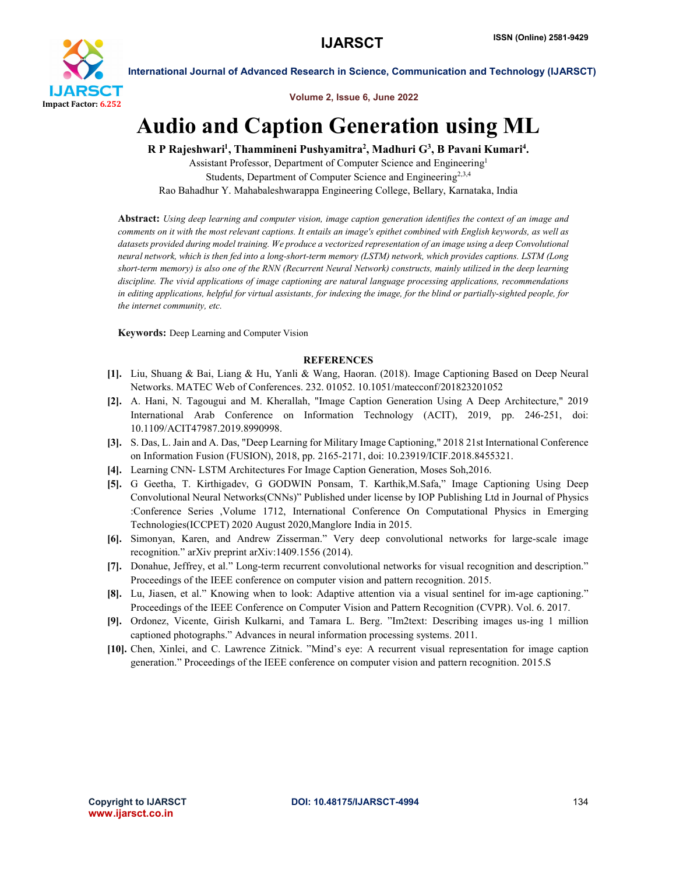

International Journal of Advanced Research in Science, Communication and Technology (IJARSCT)

Volume 2, Issue 6, June 2022

## Audio and Caption Generation using ML

R P Rajeshwari<sup>1</sup>, Thammineni Pushyamitra<sup>2</sup>, Madhuri G<sup>3</sup>, B Pavani Kumari<sup>4</sup>.

Assistant Professor, Department of Computer Science and Engineering1 Students, Department of Computer Science and Engineering<sup>2,3,4</sup> Rao Bahadhur Y. Mahabaleshwarappa Engineering College, Bellary, Karnataka, India

Abstract: *Using deep learning and computer vision, image caption generation identifies the context of an image and comments on it with the most relevant captions. It entails an image's epithet combined with English keywords, as well as datasets provided during model training. We produce a vectorized representation of an image using a deep Convolutional neural network, which is then fed into a long-short-term memory (LSTM) network, which provides captions. LSTM (Long short-term memory) is also one of the RNN (Recurrent Neural Network) constructs, mainly utilized in the deep learning discipline. The vivid applications of image captioning are natural language processing applications, recommendations*  in editing applications, helpful for virtual assistants, for indexing the image, for the blind or partially-sighted people, for *the internet community, etc.*

Keywords: Deep Learning and Computer Vision

## **REFERENCES**

- [1]. Liu, Shuang & Bai, Liang & Hu, Yanli & Wang, Haoran. (2018). Image Captioning Based on Deep Neural Networks. MATEC Web of Conferences. 232. 01052. 10.1051/matecconf/201823201052
- [2]. A. Hani, N. Tagougui and M. Kherallah, "Image Caption Generation Using A Deep Architecture," 2019 International Arab Conference on Information Technology (ACIT), 2019, pp. 246-251, doi: 10.1109/ACIT47987.2019.8990998.
- [3]. S. Das, L. Jain and A. Das, "Deep Learning for Military Image Captioning," 2018 21st International Conference on Information Fusion (FUSION), 2018, pp. 2165-2171, doi: 10.23919/ICIF.2018.8455321.
- [4]. Learning CNN- LSTM Architectures For Image Caption Generation, Moses Soh,2016.
- [5]. G Geetha, T. Kirthigadev, G GODWIN Ponsam, T. Karthik,M.Safa," Image Captioning Using Deep Convolutional Neural Networks(CNNs)" Published under license by IOP Publishing Ltd in Journal of Physics :Conference Series ,Volume 1712, International Conference On Computational Physics in Emerging Technologies(ICCPET) 2020 August 2020,Manglore India in 2015.
- [6]. Simonyan, Karen, and Andrew Zisserman." Very deep convolutional networks for large-scale image recognition." arXiv preprint arXiv:1409.1556 (2014).
- [7]. Donahue, Jeffrey, et al." Long-term recurrent convolutional networks for visual recognition and description." Proceedings of the IEEE conference on computer vision and pattern recognition. 2015.
- [8]. Lu, Jiasen, et al." Knowing when to look: Adaptive attention via a visual sentinel for im-age captioning." Proceedings of the IEEE Conference on Computer Vision and Pattern Recognition (CVPR). Vol. 6. 2017.
- [9]. Ordonez, Vicente, Girish Kulkarni, and Tamara L. Berg. "Im2text: Describing images us-ing 1 million captioned photographs." Advances in neural information processing systems. 2011.
- [10]. Chen, Xinlei, and C. Lawrence Zitnick. "Mind's eye: A recurrent visual representation for image caption generation." Proceedings of the IEEE conference on computer vision and pattern recognition. 2015.S